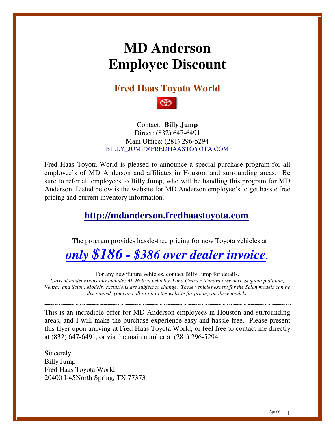# **MD Anderson Employee Discount**

**Fred Haas Toyota World** 



Contact: **Billy Jump** Direct: (832) 647-6491 Main Office: (281) 296-5294 BILLY\_JUMP@FREDHAASTOYOTA.COM

Fred Haas Toyota World is pleased to announce a special purchase program for all employee's of MD Anderson and affiliates in Houston and surrounding areas. Be sure to refer all employees to Billy Jump, who will be handling this program for MD Anderson. Listed below is the website for MD Anderson employee's to get hassle free pricing and current inventory information.

#### **http://mdanderson.fredhaastoyota.com**

The program provides hassle-free pricing for new Toyota vehicles at

### *only \$186 - \$386 over dealer invoice.*

For any new/future vehicles, contact Billy Jump for details.

*Current model exclusions include: All Hybrid vehicles, Land Cruiser, Tundra crewmax, Sequoia platinum, Venza, and Scion. Models, exclusions are subject to change. These vehicles except for the Scion models can be discounted, you can call or go to the website for pricing on these models.* 

This is an incredible offer for MD Anderson employees in Houston and surrounding areas, and I will make the purchase experience easy and hassle-free. Please present this flyer upon arriving at Fred Haas Toyota World, or feel free to contact me directly at (832) 647-6491, or via the main number at (281) 296-5294.

Sincerely, Billy Jump Fred Haas Toyota World 20400 I-45North Spring, TX 77373